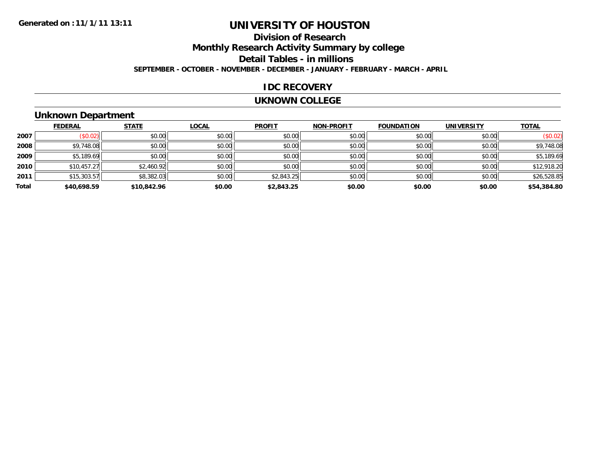# **UNIVERSITY OF HOUSTON**

### **Division of ResearchMonthly Research Activity Summary by college Detail Tables - in millions SEPTEMBER - OCTOBER - NOVEMBER - DECEMBER - JANUARY - FEBRUARY - MARCH - APRIL**

#### **IDC RECOVERY**

#### **UKNOWN COLLEGE**

### **Unknown Department**

|       | <b>FEDERAL</b> | <b>STATE</b> | <b>LOCAL</b> | <b>PROFIT</b> | <b>NON-PROFIT</b> | <b>FOUNDATION</b> | <b>UNIVERSITY</b> | <b>TOTAL</b> |
|-------|----------------|--------------|--------------|---------------|-------------------|-------------------|-------------------|--------------|
| 2007  | (\$0.02)       | \$0.00       | \$0.00       | \$0.00        | \$0.00            | \$0.00            | \$0.00            | (\$0.02)     |
| 2008  | \$9,748.08     | \$0.00       | \$0.00       | \$0.00        | \$0.00            | \$0.00            | \$0.00            | \$9,748.08   |
| 2009  | \$5,189.69     | \$0.00       | \$0.00       | \$0.00        | \$0.00            | \$0.00            | \$0.00            | \$5,189.69   |
| 2010  | \$10,457.27    | \$2,460.92   | \$0.00       | \$0.00        | \$0.00            | \$0.00            | \$0.00            | \$12,918.20  |
| 2011  | \$15,303.57    | \$8,382.03   | \$0.00       | \$2,843.25    | \$0.00            | \$0.00            | \$0.00            | \$26,528.85  |
| Total | \$40,698.59    | \$10,842.96  | \$0.00       | \$2,843.25    | \$0.00            | \$0.00            | \$0.00            | \$54,384.80  |